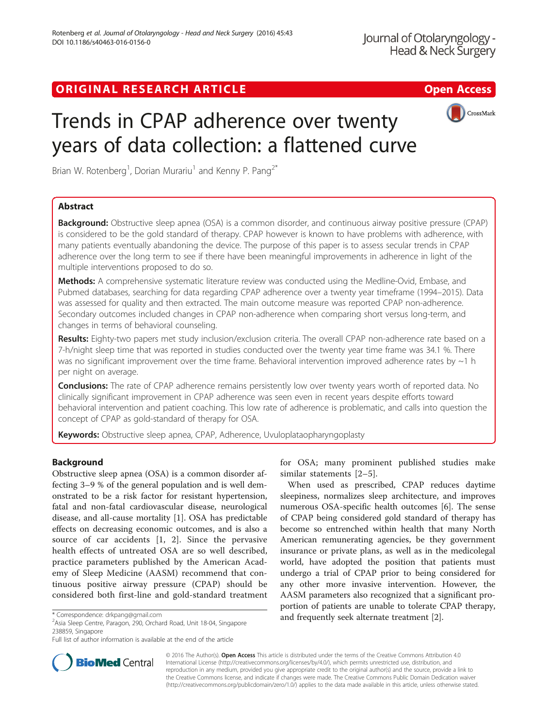# ORIGINAL RESEARCH ARTICLE **External of the Contract Contract Contract Contract Contract Contract Contract Contract Contract Contract Contract Contract Contract Contract Contract Contract Contract Contract Contract Contract**



# Trends in CPAP adherence over twenty years of data collection: a flattened curve

Brian W. Rotenberg<sup>1</sup>, Dorian Murariu<sup>1</sup> and Kenny P. Pang<sup>2\*</sup>

## Abstract

Background: Obstructive sleep apnea (OSA) is a common disorder, and continuous airway positive pressure (CPAP) is considered to be the gold standard of therapy. CPAP however is known to have problems with adherence, with many patients eventually abandoning the device. The purpose of this paper is to assess secular trends in CPAP adherence over the long term to see if there have been meaningful improvements in adherence in light of the multiple interventions proposed to do so.

Methods: A comprehensive systematic literature review was conducted using the Medline-Ovid, Embase, and Pubmed databases, searching for data regarding CPAP adherence over a twenty year timeframe (1994–2015). Data was assessed for quality and then extracted. The main outcome measure was reported CPAP non-adherence. Secondary outcomes included changes in CPAP non-adherence when comparing short versus long-term, and changes in terms of behavioral counseling.

Results: Eighty-two papers met study inclusion/exclusion criteria. The overall CPAP non-adherence rate based on a 7-h/night sleep time that was reported in studies conducted over the twenty year time frame was 34.1 %. There was no significant improvement over the time frame. Behavioral intervention improved adherence rates by  $\sim$ 1 h per night on average.

Conclusions: The rate of CPAP adherence remains persistently low over twenty years worth of reported data. No clinically significant improvement in CPAP adherence was seen even in recent years despite efforts toward behavioral intervention and patient coaching. This low rate of adherence is problematic, and calls into question the concept of CPAP as gold-standard of therapy for OSA.

Keywords: Obstructive sleep apnea, CPAP, Adherence, Uvuloplataopharyngoplasty

## **Background**

Obstructive sleep apnea (OSA) is a common disorder affecting 3–9 % of the general population and is well demonstrated to be a risk factor for resistant hypertension, fatal and non-fatal cardiovascular disease, neurological disease, and all-cause mortality [[1\]](#page-5-0). OSA has predictable effects on decreasing economic outcomes, and is also a source of car accidents [[1, 2\]](#page-5-0). Since the pervasive health effects of untreated OSA are so well described, practice parameters published by the American Academy of Sleep Medicine (AASM) recommend that continuous positive airway pressure (CPAP) should be considered both first-line and gold-standard treatment

Asia Sleep Centre, Paragon, 290, Orchard Road, Unit 18-04, Singapore 238859, Singapore



When used as prescribed, CPAP reduces daytime sleepiness, normalizes sleep architecture, and improves numerous OSA-specific health outcomes [[6\]](#page-5-0). The sense of CPAP being considered gold standard of therapy has become so entrenched within health that many North American remunerating agencies, be they government insurance or private plans, as well as in the medicolegal world, have adopted the position that patients must undergo a trial of CPAP prior to being considered for any other more invasive intervention. However, the AASM parameters also recognized that a significant proportion of patients are unable to tolerate CPAP therapy, \* Correspondence: [drkpang@gmail.com](mailto:drkpang@gmail.com) **2008** and frequently seek alternate treatment [\[2\]](#page-5-0).



© 2016 The Author(s). Open Access This article is distributed under the terms of the Creative Commons Attribution 4.0 International License [\(http://creativecommons.org/licenses/by/4.0/](http://creativecommons.org/licenses/by/4.0/)), which permits unrestricted use, distribution, and reproduction in any medium, provided you give appropriate credit to the original author(s) and the source, provide a link to the Creative Commons license, and indicate if changes were made. The Creative Commons Public Domain Dedication waiver [\(http://creativecommons.org/publicdomain/zero/1.0/](http://creativecommons.org/publicdomain/zero/1.0/)) applies to the data made available in this article, unless otherwise stated.

Full list of author information is available at the end of the article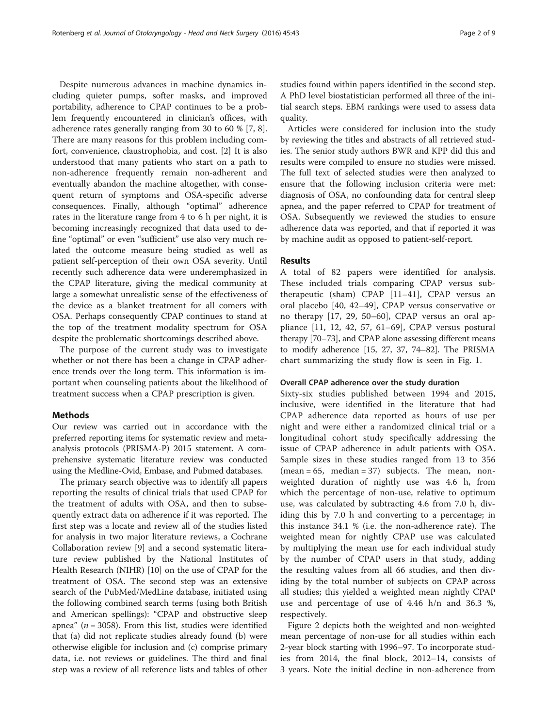Despite numerous advances in machine dynamics including quieter pumps, softer masks, and improved portability, adherence to CPAP continues to be a problem frequently encountered in clinician's offices, with adherence rates generally ranging from 30 to 60 % [\[7](#page-5-0), [8](#page-6-0)]. There are many reasons for this problem including comfort, convenience, claustrophobia, and cost. [\[2](#page-5-0)] It is also understood that many patients who start on a path to non-adherence frequently remain non-adherent and eventually abandon the machine altogether, with consequent return of symptoms and OSA-specific adverse consequences. Finally, although "optimal" adherence rates in the literature range from 4 to 6 h per night, it is becoming increasingly recognized that data used to define "optimal" or even "sufficient" use also very much related the outcome measure being studied as well as patient self-perception of their own OSA severity. Until recently such adherence data were underemphasized in the CPAP literature, giving the medical community at large a somewhat unrealistic sense of the effectiveness of the device as a blanket treatment for all comers with OSA. Perhaps consequently CPAP continues to stand at the top of the treatment modality spectrum for OSA despite the problematic shortcomings described above.

The purpose of the current study was to investigate whether or not there has been a change in CPAP adherence trends over the long term. This information is important when counseling patients about the likelihood of treatment success when a CPAP prescription is given.

## **Methods**

Our review was carried out in accordance with the preferred reporting items for systematic review and metaanalysis protocols (PRISMA-P) 2015 statement. A comprehensive systematic literature review was conducted using the Medline-Ovid, Embase, and Pubmed databases.

The primary search objective was to identify all papers reporting the results of clinical trials that used CPAP for the treatment of adults with OSA, and then to subsequently extract data on adherence if it was reported. The first step was a locate and review all of the studies listed for analysis in two major literature reviews, a Cochrane Collaboration review [[9](#page-6-0)] and a second systematic literature review published by the National Institutes of Health Research (NIHR) [\[10](#page-6-0)] on the use of CPAP for the treatment of OSA. The second step was an extensive search of the PubMed/MedLine database, initiated using the following combined search terms (using both British and American spellings): "CPAP and obstructive sleep apnea" ( $n = 3058$ ). From this list, studies were identified that (a) did not replicate studies already found (b) were otherwise eligible for inclusion and (c) comprise primary data, i.e. not reviews or guidelines. The third and final step was a review of all reference lists and tables of other

studies found within papers identified in the second step. A PhD level biostatistician performed all three of the initial search steps. EBM rankings were used to assess data quality.

Articles were considered for inclusion into the study by reviewing the titles and abstracts of all retrieved studies. The senior study authors BWR and KPP did this and results were compiled to ensure no studies were missed. The full text of selected studies were then analyzed to ensure that the following inclusion criteria were met: diagnosis of OSA, no confounding data for central sleep apnea, and the paper referred to CPAP for treatment of OSA. Subsequently we reviewed the studies to ensure adherence data was reported, and that if reported it was by machine audit as opposed to patient-self-report.

## Results

A total of 82 papers were identified for analysis. These included trials comparing CPAP versus subtherapeutic (sham) CPAP [\[11](#page-6-0)–[41](#page-6-0)], CPAP versus an oral placebo [[40, 42](#page-6-0)–[49\]](#page-6-0), CPAP versus conservative or no therapy [\[17](#page-6-0), [29](#page-6-0), [50](#page-7-0)–[60](#page-7-0)], CPAP versus an oral appliance [[11](#page-6-0), [12, 42,](#page-6-0) [57](#page-7-0), [61](#page-7-0)–[69](#page-7-0)], CPAP versus postural therapy [[70](#page-7-0)–[73\]](#page-7-0), and CPAP alone assessing different means to modify adherence [\[15, 27](#page-6-0), [37,](#page-6-0) [74](#page-7-0)–[82\]](#page-7-0). The PRISMA chart summarizing the study flow is seen in Fig. [1.](#page-2-0)

#### Overall CPAP adherence over the study duration

Sixty-six studies published between 1994 and 2015, inclusive, were identified in the literature that had CPAP adherence data reported as hours of use per night and were either a randomized clinical trial or a longitudinal cohort study specifically addressing the issue of CPAP adherence in adult patients with OSA. Sample sizes in these studies ranged from 13 to 356  $(mean = 65, median = 37)$  subjects. The mean, nonweighted duration of nightly use was 4.6 h, from which the percentage of non-use, relative to optimum use, was calculated by subtracting 4.6 from 7.0 h, dividing this by 7.0 h and converting to a percentage; in this instance 34.1 % (i.e. the non-adherence rate). The weighted mean for nightly CPAP use was calculated by multiplying the mean use for each individual study by the number of CPAP users in that study, adding the resulting values from all 66 studies, and then dividing by the total number of subjects on CPAP across all studies; this yielded a weighted mean nightly CPAP use and percentage of use of 4.46 h/n and 36.3 %, respectively.

Figure [2](#page-2-0) depicts both the weighted and non-weighted mean percentage of non-use for all studies within each 2-year block starting with 1996–97. To incorporate studies from 2014, the final block, 2012–14, consists of 3 years. Note the initial decline in non-adherence from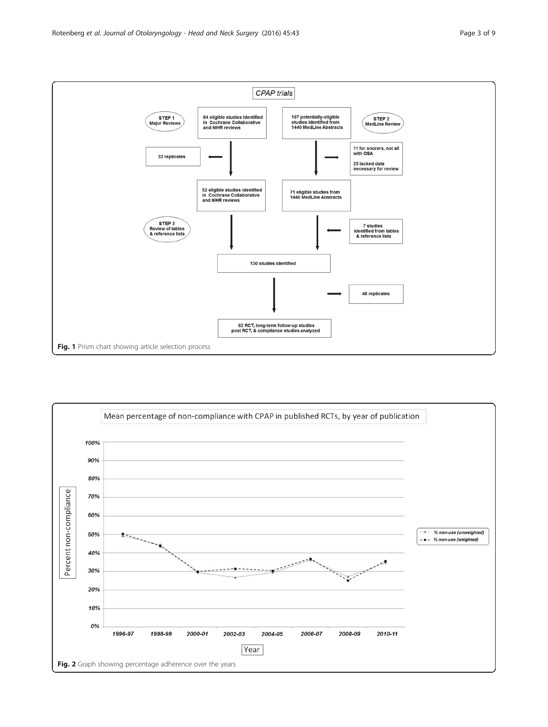<span id="page-2-0"></span>

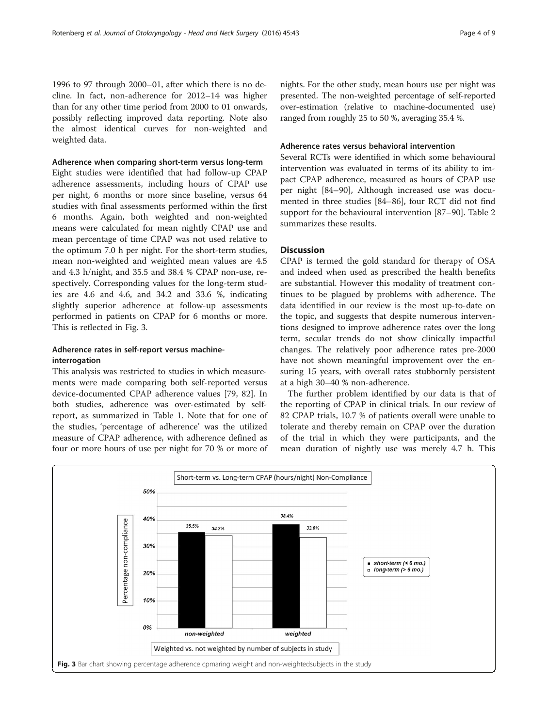1996 to 97 through 2000–01, after which there is no decline. In fact, non-adherence for 2012–14 was higher than for any other time period from 2000 to 01 onwards, possibly reflecting improved data reporting. Note also the almost identical curves for non-weighted and weighted data.

#### Adherence when comparing short-term versus long-term

Eight studies were identified that had follow-up CPAP adherence assessments, including hours of CPAP use per night, 6 months or more since baseline, versus 64 studies with final assessments performed within the first 6 months. Again, both weighted and non-weighted means were calculated for mean nightly CPAP use and mean percentage of time CPAP was not used relative to the optimum 7.0 h per night. For the short-term studies, mean non-weighted and weighted mean values are 4.5 and 4.3 h/night, and 35.5 and 38.4 % CPAP non-use, respectively. Corresponding values for the long-term studies are 4.6 and 4.6, and 34.2 and 33.6 %, indicating slightly superior adherence at follow-up assessments performed in patients on CPAP for 6 months or more. This is reflected in Fig. 3.

## Adherence rates in self-report versus machineinterrogation

This analysis was restricted to studies in which measurements were made comparing both self-reported versus device-documented CPAP adherence values [[79, 82\]](#page-7-0). In both studies, adherence was over-estimated by selfreport, as summarized in Table [1.](#page-4-0) Note that for one of the studies, 'percentage of adherence' was the utilized measure of CPAP adherence, with adherence defined as four or more hours of use per night for 70 % or more of nights. For the other study, mean hours use per night was presented. The non-weighted percentage of self-reported over-estimation (relative to machine-documented use) ranged from roughly 25 to 50 %, averaging 35.4 %.

### Adherence rates versus behavioral intervention

Several RCTs were identified in which some behavioural intervention was evaluated in terms of its ability to impact CPAP adherence, measured as hours of CPAP use per night [[84](#page-7-0)–[90](#page-7-0)], Although increased use was documented in three studies [\[84](#page-7-0)–[86\]](#page-7-0), four RCT did not find support for the behavioural intervention [\[87](#page-7-0)–[90\]](#page-7-0). Table [2](#page-4-0) summarizes these results.

## **Discussion**

CPAP is termed the gold standard for therapy of OSA and indeed when used as prescribed the health benefits are substantial. However this modality of treatment continues to be plagued by problems with adherence. The data identified in our review is the most up-to-date on the topic, and suggests that despite numerous interventions designed to improve adherence rates over the long term, secular trends do not show clinically impactful changes. The relatively poor adherence rates pre-2000 have not shown meaningful improvement over the ensuring 15 years, with overall rates stubbornly persistent at a high 30–40 % non-adherence.

The further problem identified by our data is that of the reporting of CPAP in clinical trials. In our review of 82 CPAP trials, 10.7 % of patients overall were unable to tolerate and thereby remain on CPAP over the duration of the trial in which they were participants, and the mean duration of nightly use was merely 4.7 h. This

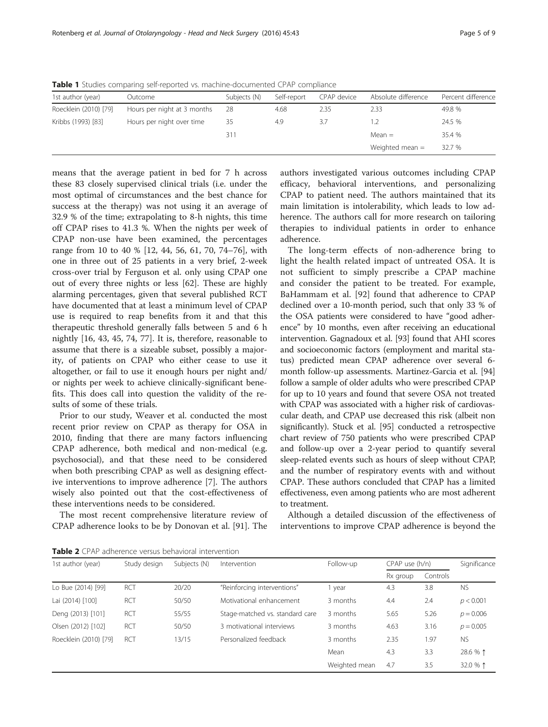<span id="page-4-0"></span>Table 1 Studies comparing self-reported vs. machine-documented CPAP compliance

| 1st author (year)     | Outcome                     | Subjects (N) | Self-report | CPAP device | Absolute difference | Percent difference |
|-----------------------|-----------------------------|--------------|-------------|-------------|---------------------|--------------------|
| Roecklein (2010) [79] | Hours per night at 3 months | -28          | 4.68        | 2.35        | 2.33                | 49.8 %             |
| Kribbs (1993) [83]    | Hours per night over time   | 35           | 4.9         | 3.7         | 1.2                 | 24.5 %             |
|                       |                             | 311          |             |             | $Mean =$            | 35.4 %             |
|                       |                             |              |             |             | Weighted mean $=$   | 32.7 %             |

means that the average patient in bed for 7 h across these 83 closely supervised clinical trials (i.e. under the most optimal of circumstances and the best chance for success at the therapy) was not using it an average of 32.9 % of the time; extrapolating to 8-h nights, this time off CPAP rises to 41.3 %. When the nights per week of CPAP non-use have been examined, the percentages range from 10 to 40 % [[12](#page-6-0), [44](#page-6-0), [56, 61](#page-7-0), [70](#page-7-0), [74](#page-7-0)–[76\]](#page-7-0), with one in three out of 25 patients in a very brief, 2-week cross-over trial by Ferguson et al. only using CPAP one out of every three nights or less [\[62](#page-7-0)]. These are highly alarming percentages, given that several published RCT have documented that at least a minimum level of CPAP use is required to reap benefits from it and that this therapeutic threshold generally falls between 5 and 6 h nightly [\[16](#page-6-0), [43, 45,](#page-6-0) [74](#page-7-0), [77](#page-7-0)]. It is, therefore, reasonable to assume that there is a sizeable subset, possibly a majority, of patients on CPAP who either cease to use it altogether, or fail to use it enough hours per night and/ or nights per week to achieve clinically-significant benefits. This does call into question the validity of the results of some of these trials.

Prior to our study, Weaver et al. conducted the most recent prior review on CPAP as therapy for OSA in 2010, finding that there are many factors influencing CPAP adherence, both medical and non-medical (e.g. psychosocial), and that these need to be considered when both prescribing CPAP as well as designing effective interventions to improve adherence [\[7](#page-5-0)]. The authors wisely also pointed out that the cost-effectiveness of these interventions needs to be considered.

The most recent comprehensive literature review of CPAP adherence looks to be by Donovan et al. [\[91\]](#page-7-0). The authors investigated various outcomes including CPAP efficacy, behavioral interventions, and personalizing CPAP to patient need. The authors maintained that its main limitation is intolerability, which leads to low adherence. The authors call for more research on tailoring therapies to individual patients in order to enhance adherence.

The long-term effects of non-adherence bring to light the health related impact of untreated OSA. It is not sufficient to simply prescribe a CPAP machine and consider the patient to be treated. For example, BaHammam et al. [[92](#page-8-0)] found that adherence to CPAP declined over a 10-month period, such that only 33 % of the OSA patients were considered to have "good adherence" by 10 months, even after receiving an educational intervention. Gagnadoux et al. [[93](#page-8-0)] found that AHI scores and socioeconomic factors (employment and marital status) predicted mean CPAP adherence over several 6 month follow-up assessments. Martinez-Garcia et al. [[94](#page-8-0)] follow a sample of older adults who were prescribed CPAP for up to 10 years and found that severe OSA not treated with CPAP was associated with a higher risk of cardiovascular death, and CPAP use decreased this risk (albeit non significantly). Stuck et al. [[95](#page-8-0)] conducted a retrospective chart review of 750 patients who were prescribed CPAP and follow-up over a 2-year period to quantify several sleep-related events such as hours of sleep without CPAP, and the number of respiratory events with and without CPAP. These authors concluded that CPAP has a limited effectiveness, even among patients who are most adherent to treatment.

Although a detailed discussion of the effectiveness of interventions to improve CPAP adherence is beyond the

Table 2 CPAP adherence versus behavioral intervention

| 1st author (year)     | Study design | Subjects (N) | Intervention                    | Follow-up     | CPAP use (h/n) |          | Significance |
|-----------------------|--------------|--------------|---------------------------------|---------------|----------------|----------|--------------|
|                       |              |              |                                 |               | Rx group       | Controls |              |
| Lo Bue (2014) [99]    | <b>RCT</b>   | 20/20        | "Reinforcing interventions"     | year          | 4.3            | 3.8      | <b>NS</b>    |
| Lai (2014) [100]      | <b>RCT</b>   | 50/50        | Motivational enhancement        | 3 months      | 4.4            | 2.4      | p < 0.001    |
| Deng (2013) [101]     | <b>RCT</b>   | 55/55        | Stage-matched vs. standard care | 3 months      | 5.65           | 5.26     | $p = 0.006$  |
| Olsen (2012) [102]    | <b>RCT</b>   | 50/50        | 3 motivational interviews       | 3 months      | 4.63           | 3.16     | $p = 0.005$  |
| Roecklein (2010) [79] | RCT          | 13/15        | Personalized feedback           | 3 months      | 2.35           | 1.97     | <b>NS</b>    |
|                       |              |              |                                 | Mean          | 4.3            | 3.3      | 28.6 % 1     |
|                       |              |              |                                 | Weighted mean | 4.7            | 3.5      | 32.0 % 1     |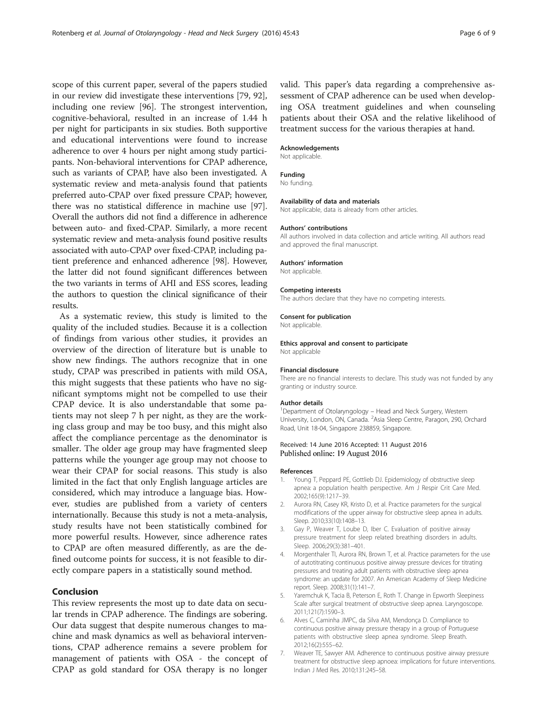<span id="page-5-0"></span>scope of this current paper, several of the papers studied in our review did investigate these interventions [\[79](#page-7-0), [92](#page-8-0)], including one review [[96](#page-8-0)]. The strongest intervention, cognitive-behavioral, resulted in an increase of 1.44 h per night for participants in six studies. Both supportive and educational interventions were found to increase adherence to over 4 hours per night among study participants. Non-behavioral interventions for CPAP adherence, such as variants of CPAP, have also been investigated. A systematic review and meta-analysis found that patients preferred auto-CPAP over fixed pressure CPAP; however, there was no statistical difference in machine use [[97](#page-8-0)]. Overall the authors did not find a difference in adherence between auto- and fixed-CPAP. Similarly, a more recent systematic review and meta-analysis found positive results associated with auto-CPAP over fixed-CPAP, including patient preference and enhanced adherence [\[98\]](#page-8-0). However, the latter did not found significant differences between the two variants in terms of AHI and ESS scores, leading the authors to question the clinical significance of their results.

As a systematic review, this study is limited to the quality of the included studies. Because it is a collection of findings from various other studies, it provides an overview of the direction of literature but is unable to show new findings. The authors recognize that in one study, CPAP was prescribed in patients with mild OSA, this might suggests that these patients who have no significant symptoms might not be compelled to use their CPAP device. It is also understandable that some patients may not sleep 7 h per night, as they are the working class group and may be too busy, and this might also affect the compliance percentage as the denominator is smaller. The older age group may have fragmented sleep patterns while the younger age group may not choose to wear their CPAP for social reasons. This study is also limited in the fact that only English language articles are considered, which may introduce a language bias. However, studies are published from a variety of centers internationally. Because this study is not a meta-analysis, study results have not been statistically combined for more powerful results. However, since adherence rates to CPAP are often measured differently, as are the defined outcome points for success, it is not feasible to directly compare papers in a statistically sound method.

## Conclusion

This review represents the most up to date data on secular trends in CPAP adherence. The findings are sobering. Our data suggest that despite numerous changes to machine and mask dynamics as well as behavioral interventions, CPAP adherence remains a severe problem for management of patients with OSA - the concept of CPAP as gold standard for OSA therapy is no longer valid. This paper's data regarding a comprehensive assessment of CPAP adherence can be used when developing OSA treatment guidelines and when counseling patients about their OSA and the relative likelihood of treatment success for the various therapies at hand.

#### Acknowledgements

Not applicable.

#### Funding

No funding.

#### Availability of data and materials

Not applicable, data is already from other articles.

#### Authors' contributions

All authors involved in data collection and article writing. All authors read and approved the final manuscript.

#### Authors' information

Not applicable.

#### Competing interests

The authors declare that they have no competing interests.

#### Consent for publication

Not applicable.

## Ethics approval and consent to participate

Not applicable

#### Financial disclosure

There are no financial interests to declare. This study was not funded by any granting or industry source.

#### Author details

<sup>1</sup> Department of Otolaryngology – Head and Neck Surgery, Western<br>University, London, ON, Canada. <sup>2</sup>Asia Sleep Centre, Paragon, 290, Orchard Road, Unit 18-04, Singapore 238859, Singapore.

#### Received: 14 June 2016 Accepted: 11 August 2016 Published online: 19 August 2016

#### References

- 1. Young T, Peppard PE, Gottlieb DJ. Epidemiology of obstructive sleep apnea: a population health perspective. Am J Respir Crit Care Med. 2002;165(9):1217–39.
- 2. Aurora RN, Casey KR, Kristo D, et al. Practice parameters for the surgical modifications of the upper airway for obstructive sleep apnea in adults. Sleep. 2010;33(10):1408–13.
- 3. Gay P, Weaver T, Loube D, Iber C. Evaluation of positive airway pressure treatment for sleep related breathing disorders in adults. Sleep. 2006;29(3):381–401.
- 4. Morgenthaler TI, Aurora RN, Brown T, et al. Practice parameters for the use of autotitrating continuous positive airway pressure devices for titrating pressures and treating adult patients with obstructive sleep apnea syndrome: an update for 2007. An American Academy of Sleep Medicine report. Sleep. 2008;31(1):141–7.
- Yaremchuk K, Tacia B, Peterson E, Roth T. Change in Epworth Sleepiness Scale after surgical treatment of obstructive sleep apnea. Laryngoscope. 2011;121(7):1590–3.
- 6. Alves C, Caminha JMPC, da Silva AM, Mendonça D. Compliance to continuous positive airway pressure therapy in a group of Portuguese patients with obstructive sleep apnea syndrome. Sleep Breath. 2012;16(2):555–62.
- 7. Weaver TE, Sawyer AM. Adherence to continuous positive airway pressure treatment for obstructive sleep apnoea: implications for future interventions. Indian J Med Res. 2010;131:245–58.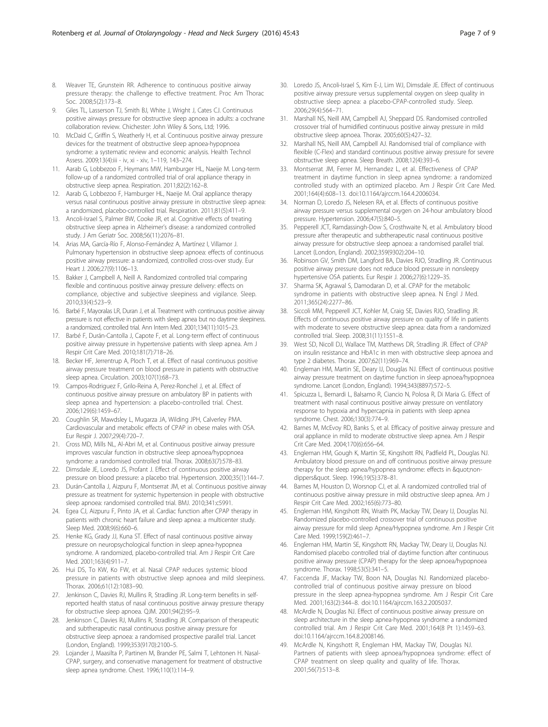- <span id="page-6-0"></span>8. Weaver TE, Grunstein RR. Adherence to continuous positive airway pressure therapy: the challenge to effective treatment. Proc Am Thorac Soc. 2008;5(2):173–8.
- Giles TL, Lasserson TJ, Smith BJ, White J, Wright J, Cates CJ. Continuous positive airways pressure for obstructive sleep apnoea in adults: a cochrane collaboration review. Chichester: John Wiley & Sons, Ltd; 1996.
- 10. McDaid C, Griffin S, Weatherly H, et al. Continuous positive airway pressure devices for the treatment of obstructive sleep apnoea-hypopnoea syndrome: a systematic review and economic analysis. Health Technol Assess. 2009;13(4):iii - iv, xi - xiv, 1–119, 143–274.
- 11. Aarab G, Lobbezoo F, Heymans MW, Hamburger HL, Naeije M. Long-term follow-up of a randomized controlled trial of oral appliance therapy in obstructive sleep apnea. Respiration. 2011;82(2):162–8.
- 12. Aarab G, Lobbezoo F, Hamburger HL, Naeije M. Oral appliance therapy versus nasal continuous positive airway pressure in obstructive sleep apnea: a randomized, placebo-controlled trial. Respiration. 2011;81(5):411–9.
- 13. Ancoli-Israel S, Palmer BW, Cooke JR, et al. Cognitive effects of treating obstructive sleep apnea in Alzheimer's disease: a randomized controlled study. J Am Geriatr Soc. 2008;56(11):2076–81.
- 14. Arias MA, García-Río F, Alonso-Fernández A, Martínez I, Villamor J. Pulmonary hypertension in obstructive sleep apnoea: effects of continuous positive airway pressure: a randomized, controlled cross-over study. Eur Heart J. 2006;27(9):1106–13.
- 15. Bakker J, Campbell A, Neill A. Randomized controlled trial comparing flexible and continuous positive airway pressure delivery: effects on compliance, objective and subjective sleepiness and vigilance. Sleep. 2010;33(4):523–9.
- 16. Barbé F, Mayoralas LR, Duran J, et al. Treatment with continuous positive airway pressure is not effective in patients with sleep apnea but no daytime sleepiness. a randomized, controlled trial. Ann Intern Med. 2001;134(11):1015–23.
- 17. Barbé F, Durán-Cantolla J, Capote F, et al. Long-term effect of continuous positive airway pressure in hypertensive patients with sleep apnea. Am J Respir Crit Care Med. 2010;181(7):718–26.
- 18. Becker HF, Jerrentrup A, Ploch T, et al. Effect of nasal continuous positive airway pressure treatment on blood pressure in patients with obstructive sleep apnea. Circulation. 2003;107(1):68–73.
- 19. Campos-Rodriguez F, Grilo-Reina A, Perez-Ronchel J, et al. Effect of continuous positive airway pressure on ambulatory BP in patients with sleep apnea and hypertension: a placebo-controlled trial. Chest. 2006;129(6):1459–67.
- 20. Coughlin SR, Mawdsley L, Mugarza JA, Wilding JPH, Calverley PMA. Cardiovascular and metabolic effects of CPAP in obese males with OSA. Eur Respir J. 2007;29(4):720–7.
- 21. Cross MD, Mills NL, Al-Abri M, et al. Continuous positive airway pressure improves vascular function in obstructive sleep apnoea/hypopnoea syndrome: a randomised controlled trial. Thorax. 2008;63(7):578–83.
- 22. Dimsdale JE, Loredo JS, Profant J. Effect of continuous positive airway pressure on blood pressure: a placebo trial. Hypertension. 2000;35(1):144–7.
- 23. Durán-Cantolla J, Aizpuru F, Montserrat JM, et al. Continuous positive airway pressure as treatment for systemic hypertension in people with obstructive sleep apnoea: randomised controlled trial. BMJ. 2010;341:c5991.
- 24. Egea CJ, Aizpuru F, Pinto JA, et al. Cardiac function after CPAP therapy in patients with chronic heart failure and sleep apnea: a multicenter study. Sleep Med. 2008;9(6):660–6.
- 25. Henke KG, Grady JJ, Kuna ST. Effect of nasal continuous positive airway pressure on neuropsychological function in sleep apnea-hypopnea syndrome. A randomized, placebo-controlled trial. Am J Respir Crit Care Med. 2001;163(4):911–7.
- 26. Hui DS, To KW, Ko FW, et al. Nasal CPAP reduces systemic blood pressure in patients with obstructive sleep apnoea and mild sleepiness. Thorax. 2006;61(12):1083–90.
- 27. Jenkinson C, Davies RJ, Mullins R, Stradling JR. Long-term benefits in selfreported health status of nasal continuous positive airway pressure therapy for obstructive sleep apnoea. QJM. 2001;94(2):95–9.
- 28. Jenkinson C, Davies RJ, Mullins R, Stradling JR. Comparison of therapeutic and subtherapeutic nasal continuous positive airway pressure for obstructive sleep apnoea: a randomised prospective parallel trial. Lancet (London, England). 1999;353(9170):2100–5.
- 29. Lojander J, Maasilta P, Partinen M, Brander PE, Salmi T, Lehtonen H. Nasal-CPAP, surgery, and conservative management for treatment of obstructive sleep apnea syndrome. Chest. 1996;110(1):114–9.
- 30. Loredo JS, Ancoli-Israel S, Kim E-J, Lim WJ, Dimsdale JE. Effect of continuous positive airway pressure versus supplemental oxygen on sleep quality in obstructive sleep apnea: a placebo-CPAP-controlled study. Sleep. 2006;29(4):564–71.
- 31. Marshall NS, Neill AM, Campbell AJ, Sheppard DS. Randomised controlled crossover trial of humidified continuous positive airway pressure in mild obstructive sleep apnoea. Thorax. 2005;60(5):427–32.
- 32. Marshall NS, Neill AM, Campbell AJ. Randomised trial of compliance with flexible (C-Flex) and standard continuous positive airway pressure for severe obstructive sleep apnea. Sleep Breath. 2008;12(4):393–6.
- 33. Montserrat JM, Ferrer M, Hernandez L, et al. Effectiveness of CPAP treatment in daytime function in sleep apnea syndrome: a randomized controlled study with an optimized placebo. Am J Respir Crit Care Med. 2001;164(4):608–13. doi:[10.1164/ajrccm.164.4.2006034.](http://dx.doi.org/10.1164/ajrccm.164.4.2006034)
- 34. Norman D, Loredo JS, Nelesen RA, et al. Effects of continuous positive airway pressure versus supplemental oxygen on 24-hour ambulatory blood pressure. Hypertension. 2006;47(5):840–5.
- 35. Pepperell JCT, Ramdassingh-Dow S, Crosthwaite N, et al. Ambulatory blood pressure after therapeutic and subtherapeutic nasal continuous positive airway pressure for obstructive sleep apnoea: a randomised parallel trial. Lancet (London, England). 2002;359(9302):204–10.
- 36. Robinson GV, Smith DM, Langford BA, Davies RJO, Stradling JR. Continuous positive airway pressure does not reduce blood pressure in nonsleepy hypertensive OSA patients. Eur Respir J. 2006;27(6):1229–35.
- 37. Sharma SK, Agrawal S, Damodaran D, et al. CPAP for the metabolic syndrome in patients with obstructive sleep apnea. N Engl J Med. 2011;365(24):2277–86.
- 38. Siccoli MM, Pepperell JCT, Kohler M, Craig SE, Davies RJO, Stradling JR. Effects of continuous positive airway pressure on quality of life in patients with moderate to severe obstructive sleep apnea: data from a randomized controlled trial. Sleep. 2008;31(11):1551–8.
- 39. West SD, Nicoll DJ, Wallace TM, Matthews DR, Stradling JR. Effect of CPAP on insulin resistance and HbA1c in men with obstructive sleep apnoea and type 2 diabetes. Thorax. 2007;62(11):969–74.
- 40. Engleman HM, Martin SE, Deary IJ, Douglas NJ. Effect of continuous positive airway pressure treatment on daytime function in sleep apnoea/hypopnoea syndrome. Lancet (London, England). 1994;343(8897):572–5.
- 41. Spicuzza L, Bernardi L, Balsamo R, Ciancio N, Polosa R, Di Maria G. Effect of treatment with nasal continuous positive airway pressure on ventilatory response to hypoxia and hypercapnia in patients with sleep apnea syndrome. Chest. 2006;130(3):774–9.
- 42. Barnes M, McEvoy RD, Banks S, et al. Efficacy of positive airway pressure and oral appliance in mild to moderate obstructive sleep apnea. Am J Respir Crit Care Med. 2004;170(6):656–64.
- 43. Engleman HM, Gough K, Martin SE, Kingshott RN, Padfield PL, Douglas NJ. Ambulatory blood pressure on and off continuous positive airway pressure therapy for the sleep apnea/hypopnea syndrome: effects in "nondippers&quot. Sleep. 1996;19(5):378-81.
- 44. Barnes M, Houston D, Worsnop CJ, et al. A randomized controlled trial of continuous positive airway pressure in mild obstructive sleep apnea. Am J Respir Crit Care Med. 2002;165(6):773–80.
- 45. Engleman HM, Kingshott RN, Wraith PK, Mackay TW, Deary IJ, Douglas NJ. Randomized placebo-controlled crossover trial of continuous positive airway pressure for mild sleep Apnea/Hypopnea syndrome. Am J Respir Crit Care Med. 1999;159(2):461–7.
- 46. Engleman HM, Martin SE, Kingshott RN, Mackay TW, Deary IJ, Douglas NJ. Randomised placebo controlled trial of daytime function after continuous positive airway pressure (CPAP) therapy for the sleep apnoea/hypopnoea syndrome. Thorax. 1998;53(5):341–5.
- 47. Faccenda JF, Mackay TW, Boon NA, Douglas NJ. Randomized placebocontrolled trial of continuous positive airway pressure on blood pressure in the sleep apnea-hypopnea syndrome. Am J Respir Crit Care Med. 2001;163(2):344–8. doi:[10.1164/ajrccm.163.2.2005037](http://dx.doi.org/10.1164/ajrccm.163.2.2005037).
- 48. McArdle N, Douglas NJ. Effect of continuous positive airway pressure on sleep architecture in the sleep apnea-hypopnea syndrome: a randomized controlled trial. Am J Respir Crit Care Med. 2001;164(8 Pt 1):1459–63. doi[:10.1164/ajrccm.164.8.2008146.](http://dx.doi.org/10.1164/ajrccm.164.8.2008146)
- 49. McArdle N, Kingshott R, Engleman HM, Mackay TW, Douglas NJ. Partners of patients with sleep apnoea/hypopnoea syndrome: effect of CPAP treatment on sleep quality and quality of life. Thorax. 2001;56(7):513–8.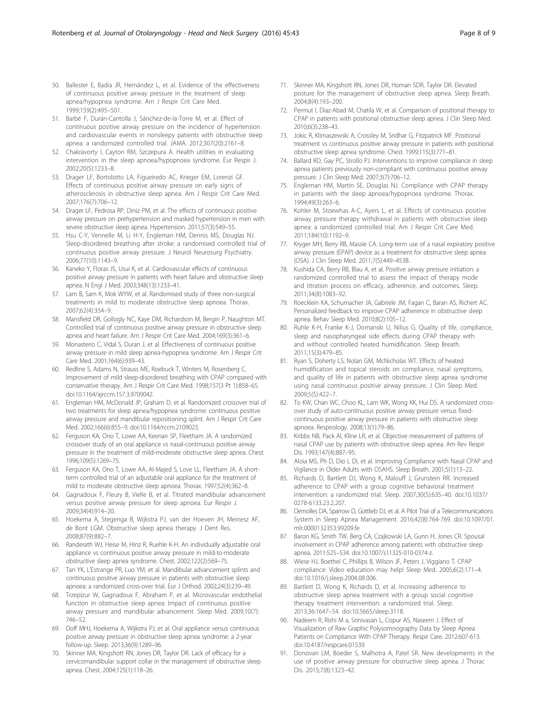- <span id="page-7-0"></span>50. Ballester E, Badia JR, Hernández L, et al. Evidence of the effectiveness of continuous positive airway pressure in the treatment of sleep apnea/hypopnea syndrome. Am J Respir Crit Care Med. 1999;159(2):495–501.
- 51. Barbé F, Durán-Cantolla J, Sánchez-de-la-Torre M, et al. Effect of continuous positive airway pressure on the incidence of hypertension and cardiovascular events in nonsleepy patients with obstructive sleep apnea: a randomized controlled trial. JAMA. 2012;307(20):2161–8.
- 52. Chakravorty I, Cayton RM, Szczepura A. Health utilities in evaluating intervention in the sleep apnoea/hypopnoea syndrome. Eur Respir J. 2002;20(5):1233–8.
- 53. Drager LF, Bortolotto LA, Figueiredo AC, Krieger EM, Lorenzi GF. Effects of continuous positive airway pressure on early signs of atherosclerosis in obstructive sleep apnea. Am J Respir Crit Care Med. 2007;176(7):706–12.
- 54. Drager LF, Pedrosa RP, Diniz PM, et al. The effects of continuous positive airway pressure on prehypertension and masked hypertension in men with severe obstructive sleep apnea. Hypertension. 2011;57(3):549–55.
- 55. Hsu C-Y, Vennelle M, Li H-Y, Engleman HM, Dennis MS, Douglas NJ. Sleep-disordered breathing after stroke: a randomised controlled trial of continuous positive airway pressure. J Neurol Neurosurg Psychiatry. 2006;77(10):1143–9.
- 56. Kaneko Y, Floras JS, Usui K, et al. Cardiovascular effects of continuous positive airway pressure in patients with heart failure and obstructive sleep apnea. N Engl J Med. 2003;348(13):1233–41.
- 57. Lam B, Sam K, Mok WYW, et al. Randomised study of three non-surgical treatments in mild to moderate obstructive sleep apnoea. Thorax. 2007;62(4):354–9.
- 58. Mansfield DR, Gollogly NC, Kaye DM, Richardson M, Bergin P, Naughton MT. Controlled trial of continuous positive airway pressure in obstructive sleep apnea and heart failure. Am J Respir Crit Care Med. 2004;169(3):361–6.
- 59. Monasterio C, Vidal S, Duran J, et al. Effectiveness of continuous positive airway pressure in mild sleep apnea-hypopnea syndrome. Am J Respir Crit Care Med. 2001;164(6):939–43.
- 60. Redline S, Adams N, Strauss ME, Roebuck T, Winters M, Rosenberg C. Improvement of mild sleep-disordered breathing with CPAP compared with conservative therapy. Am J Respir Crit Care Med. 1998;157(3 Pt 1):858–65. doi[:10.1164/ajrccm.157.3.9709042.](http://dx.doi.org/10.1164/ajrccm.157.3.9709042)
- 61. Engleman HM, McDonald JP, Graham D, et al. Randomized crossover trial of two treatments for sleep apnea/hypopnea syndrome: continuous positive airway pressure and mandibular repositioning splint. Am J Respir Crit Care Med. 2002;166(6):855–9. doi:[10.1164/rccm.2109023](http://dx.doi.org/10.1164/rccm.2109023).
- 62. Ferguson KA, Ono T, Lowe AA, Keenan SP, Fleetham JA. A randomized crossover study of an oral appliance vs nasal-continuous positive airway pressure in the treatment of mild-moderate obstructive sleep apnea. Chest. 1996;109(5):1269–75.
- 63. Ferguson KA, Ono T, Lowe AA, Al-Majed S, Love LL, Fleetham JA. A shortterm controlled trial of an adjustable oral appliance for the treatment of mild to moderate obstructive sleep apnoea. Thorax. 1997;52(4):362–8.
- 64. Gagnadoux F, Fleury B, Vielle B, et al. Titrated mandibular advancement versus positive airway pressure for sleep apnoea. Eur Respir J. 2009;34(4):914–20.
- 65. Hoekema A, Stegenga B, Wijkstra PJ, van der Hoeven JH, Meinesz AF, de Bont LGM. Obstructive sleep apnea therapy. J Dent Res. 2008;87(9):882–7.
- 66. Randerath WJ, Heise M, Hinz R, Ruehle K-H. An individually adjustable oral appliance vs continuous positive airway pressure in mild-to-moderate obstructive sleep apnea syndrome. Chest. 2002;122(2):569–75.
- 67. Tan YK, L'Estrange PR, Luo YM, et al. Mandibular advancement splints and continuous positive airway pressure in patients with obstructive sleep apnoea: a randomized cross-over trial. Eur J Orthod. 2002;24(3):239–49.
- 68. Trzepizur W, Gagnadoux F, Abraham P, et al. Microvascular endothelial function in obstructive sleep apnea: Impact of continuous positive airway pressure and mandibular advancement. Sleep Med. 2009;10(7): 746–52.
- 69. Doff MHJ, Hoekema A, Wijkstra PJ, et al. Oral appliance versus continuous positive airway pressure in obstructive sleep apnea syndrome: a 2-year follow-up. Sleep. 2013;36(9):1289–96.
- 70. Skinner MA, Kingshott RN, Jones DR, Taylor DR. Lack of efficacy for a cervicomandibular support collar in the management of obstructive sleep apnea. Chest. 2004;125(1):118–26.
- 71. Skinner MA, Kingshott RN, Jones DR, Homan SDR, Taylor DR. Elevated posture for the management of obstructive sleep apnea. Sleep Breath. 2004;8(4):193–200.
- 72. Permut I, Diaz-Abad M, Chatila W, et al. Comparison of positional therapy to CPAP in patients with positional obstructive sleep apnea. J Clin Sleep Med. 2010;6(3):238–43.
- 73. Jokic R, Klimaszewski A, Crossley M, Sridhar G, Fitzpatrick MF. Positional treatment vs continuous positive airway pressure in patients with positional obstructive sleep apnea syndrome. Chest. 1999;115(3):771–81.
- 74. Ballard RD, Gay PC, Strollo PJ. Interventions to improve compliance in sleep apnea patients previously non-compliant with continuous positive airway pressure. J Clin Sleep Med. 2007;3(7):706–12.
- 75. Engleman HM, Martin SE, Douglas NJ. Compliance with CPAP therapy in patients with the sleep apnoea/hypopnoea syndrome. Thorax. 1994;49(3):263–6.
- 76. Kohler M, Stoewhas A-C, Ayers L, et al. Effects of continuous positive airway pressure therapy withdrawal in patients with obstructive sleep apnea: a randomized controlled trial. Am J Respir Crit Care Med. 2011;184(10):1192–9.
- 77. Kryger MH, Berry RB, Massie CA. Long-term use of a nasal expiratory positive airway pressure (EPAP) device as a treatment for obstructive sleep apnea (OSA). J Clin Sleep Med. 2011;7(5):449–453B.
- 78. Kushida CA, Berry RB, Blau A, et al. Positive airway pressure initiation: a randomized controlled trial to assess the impact of therapy mode and titration process on efficacy, adherence, and outcomes. Sleep. 2011;34(8):1083–92.
- 79. Roecklein KA, Schumacher JA, Gabriele JM, Fagan C, Baran AS, Richert AC. Personalized feedback to improve CPAP adherence in obstructive sleep apnea. Behav Sleep Med. 2010;8(2):105–12.
- 80. Ruhle K-H, Franke K-J, Domanski U, Nilius G. Quality of life, compliance, sleep and nasopharyngeal side effects during CPAP therapy with and without controlled heated humidification. Sleep Breath. 2011;15(3):479–85.
- 81. Ryan S, Doherty LS, Nolan GM, McNicholas WT. Effects of heated humidification and topical steroids on compliance, nasal symptoms, and quality of life in patients with obstructive sleep apnea syndrome using nasal continuous positive airway pressure. J Clin Sleep Med. 2009;5(5):422–7.
- 82. To KW, Chan WC, Choo KL, Lam WK, Wong KK, Hui DS. A randomized crossover study of auto-continuous positive airway pressure versus fixedcontinuous positive airway pressure in patients with obstructive sleep apnoea. Respirology. 2008;13(1):79–86.
- Kribbs NB, Pack AI, Kline LR, et al. Objective measurement of patterns of nasal CPAP use by patients with obstructive sleep apnea. Am Rev Respir Dis. 1993;147(4):887–95.
- 84. Aloia MS, Ph D, Dio L Di, et al. Improving Compliance with Nasal CPAP and Vigilance in Older Adults with OSAHS. Sleep Breath. 2001;5(1):13–22.
- 85. Richards D, Bartlett DJ, Wong K, Malouff J, Grunstein RR. Increased adherence to CPAP with a group cognitive behavioral treatment intervention: a randomized trial. Sleep. 2007;30(5):635–40. doi[:10.1037/](http://dx.doi.org/10.1037/0278-6133.23.2.207) [0278-6133.23.2.207.](http://dx.doi.org/10.1037/0278-6133.23.2.207)
- 86. Demolles DA, Sparrow D, Gottlieb DJ, et al. A Pilot Trial of a Telecommunications System in Sleep Apnea Management. 2016;42(8):764-769. doi[:10.1097/01.](http://dx.doi.org/10.1097/01.mlr.0000132353.99209.fe) [mlr.0000132353.99209.fe](http://dx.doi.org/10.1097/01.mlr.0000132353.99209.fe)
- 87. Baron KG, Smith TW, Berg CA, Czajkowski LA, Gunn H, Jones CR. Spousal involvement in CPAP adherence among patients with obstructive sleep apnea. 2011:525–534. doi:[10.1007/s11325-010-0374-z.](http://dx.doi.org/10.1007/s11325-010-0374-z)
- 88. Wiese HJ, Boethel C, Phillips B, Wilson JF, Peters J, Viggiano T. CPAP compliance: Video education may help! Sleep Med. 2005;6(2):171–4. doi[:10.1016/j.sleep.2004.08.006.](http://dx.doi.org/10.1016/j.sleep.2004.08.006)
- 89. Bartlett D, Wong K, Richards D, et al. Increasing adherence to obstructive sleep apnea treatment with a group social cognitive therapy treatment intervention: a randomized trial. Sleep. 2013;36:1647–54. doi:[10.5665/sleep.3118](http://dx.doi.org/10.5665/sleep.3118).
- 90. Nadeem R, Rishi M a, Srinivasan L, Copur AS, Naseem J. Effect of Visualization of Raw Graphic Polysomnography Data by Sleep Apnea Patients on Compliance With CPAP Therapy. Respir Care. 2012:607-613. doi[:10.4187/respcare.01539](http://dx.doi.org/10.4187/respcare.01539).
- 91. Donovan LM, Boeder S, Malhotra A, Patel SR. New developments in the use of positive airway pressure for obstructive sleep apnea. J Thorac Dis. 2015;7(8):1323–42.